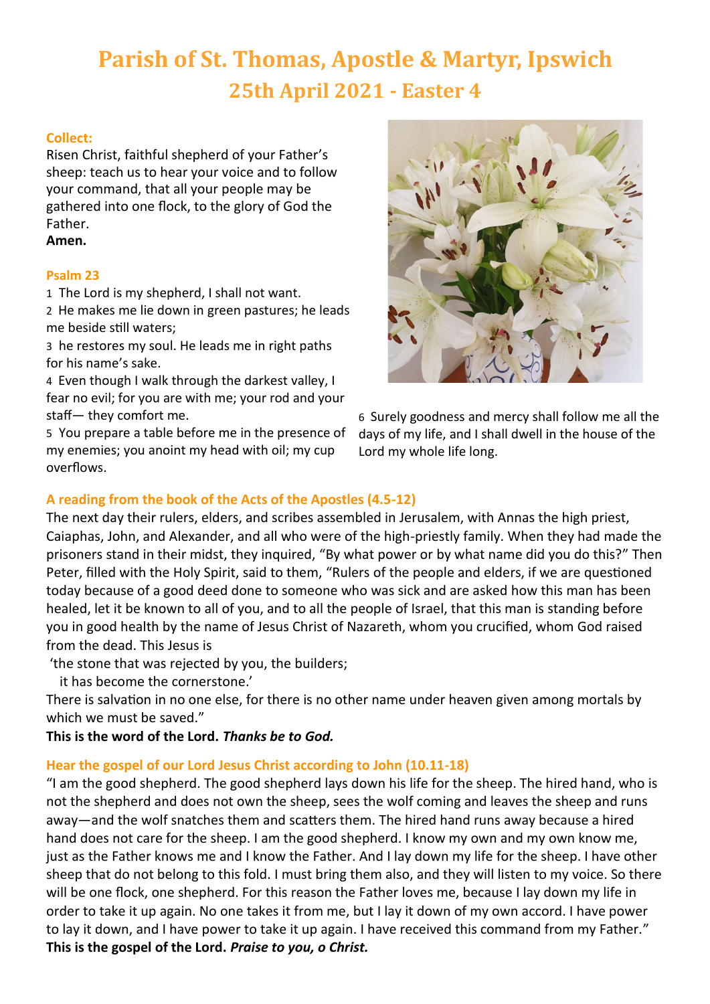# **Parish of St. Thomas, Apostle & Martyr, Ipswich 25th April 2021 - Easter 4**

# **Collect:**

Risen Christ, faithful shepherd of your Father's sheep: teach us to hear your voice and to follow your command, that all your people may be gathered into one flock, to the glory of God the Father.

# **Amen.**

### **Psalm 23**

1 The Lord is my shepherd, I shall not want.

2 He makes me lie down in green pastures; he leads me beside still waters;

3 he restores my soul. He leads me in right paths for his name's sake.

4 Even though I walk through the darkest valley, I fear no evil; for you are with me; your rod and your staff— they comfort me.

5 You prepare a table before me in the presence of my enemies; you anoint my head with oil; my cup overflows.



6 Surely goodness and mercy shall follow me all the days of my life, and I shall dwell in the house of the Lord my whole life long.

# **A reading from the book of the Acts of the Apostles (4.5-12)**

The next day their rulers, elders, and scribes assembled in Jerusalem, with Annas the high priest, Caiaphas, John, and Alexander, and all who were of the high-priestly family. When they had made the prisoners stand in their midst, they inquired, "By what power or by what name did you do this?" Then Peter, filled with the Holy Spirit, said to them, "Rulers of the people and elders, if we are questioned today because of a good deed done to someone who was sick and are asked how this man has been healed, let it be known to all of you, and to all the people of Israel, that this man is standing before you in good health by the name of Jesus Christ of Nazareth, whom you crucified, whom God raised from the dead. This Jesus is

'the stone that was rejected by you, the builders;

it has become the cornerstone.'

There is salvation in no one else, for there is no other name under heaven given among mortals by which we must be saved."

**This is the word of the Lord.** *Thanks be to God.*

# **Hear the gospel of our Lord Jesus Christ according to John (10.11-18)**

"I am the good shepherd. The good shepherd lays down his life for the sheep. The hired hand, who is not the shepherd and does not own the sheep, sees the wolf coming and leaves the sheep and runs away—and the wolf snatches them and scatters them. The hired hand runs away because a hired hand does not care for the sheep. I am the good shepherd. I know my own and my own know me, just as the Father knows me and I know the Father. And I lay down my life for the sheep. I have other sheep that do not belong to this fold. I must bring them also, and they will listen to my voice. So there will be one flock, one shepherd. For this reason the Father loves me, because I lay down my life in order to take it up again. No one takes it from me, but I lay it down of my own accord. I have power to lay it down, and I have power to take it up again. I have received this command from my Father." **This is the gospel of the Lord.** *Praise to you, o Christ.*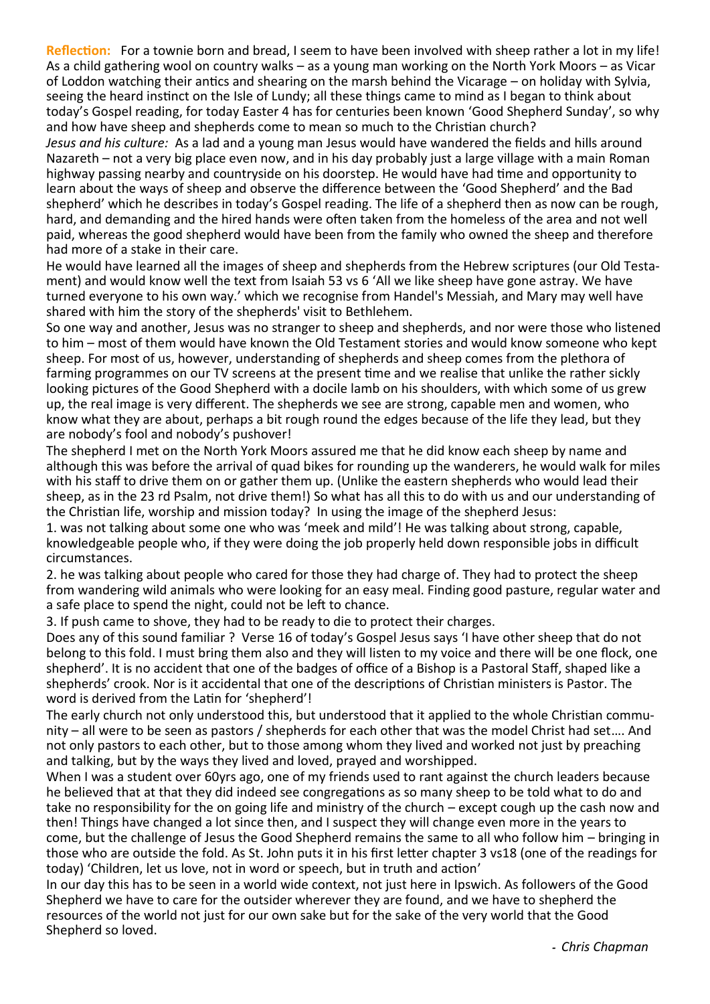**Reflection:** For a townie born and bread, I seem to have been involved with sheep rather a lot in my life! As a child gathering wool on country walks – as a young man working on the North York Moors – as Vicar of Loddon watching their antics and shearing on the marsh behind the Vicarage – on holiday with Sylvia, seeing the heard instinct on the Isle of Lundy; all these things came to mind as I began to think about today's Gospel reading, for today Easter 4 has for centuries been known 'Good Shepherd Sunday', so why and how have sheep and shepherds come to mean so much to the Christian church?

*Jesus and his culture:* As a lad and a young man Jesus would have wandered the fields and hills around Nazareth – not a very big place even now, and in his day probably just a large village with a main Roman highway passing nearby and countryside on his doorstep. He would have had time and opportunity to learn about the ways of sheep and observe the difference between the 'Good Shepherd' and the Bad shepherd' which he describes in today's Gospel reading. The life of a shepherd then as now can be rough, hard, and demanding and the hired hands were often taken from the homeless of the area and not well paid, whereas the good shepherd would have been from the family who owned the sheep and therefore had more of a stake in their care.

He would have learned all the images of sheep and shepherds from the Hebrew scriptures (our Old Testament) and would know well the text from Isaiah 53 vs 6 'All we like sheep have gone astray. We have turned everyone to his own way.' which we recognise from Handel's Messiah, and Mary may well have shared with him the story of the shepherds' visit to Bethlehem.

So one way and another, Jesus was no stranger to sheep and shepherds, and nor were those who listened to him – most of them would have known the Old Testament stories and would know someone who kept sheep. For most of us, however, understanding of shepherds and sheep comes from the plethora of farming programmes on our TV screens at the present time and we realise that unlike the rather sickly looking pictures of the Good Shepherd with a docile lamb on his shoulders, with which some of us grew up, the real image is very different. The shepherds we see are strong, capable men and women, who know what they are about, perhaps a bit rough round the edges because of the life they lead, but they are nobody's fool and nobody's pushover!

The shepherd I met on the North York Moors assured me that he did know each sheep by name and although this was before the arrival of quad bikes for rounding up the wanderers, he would walk for miles with his staff to drive them on or gather them up. (Unlike the eastern shepherds who would lead their sheep, as in the 23 rd Psalm, not drive them!) So what has all this to do with us and our understanding of the Christian life, worship and mission today? In using the image of the shepherd Jesus:

1. was not talking about some one who was 'meek and mild'! He was talking about strong, capable, knowledgeable people who, if they were doing the job properly held down responsible jobs in difficult circumstances.

2. he was talking about people who cared for those they had charge of. They had to protect the sheep from wandering wild animals who were looking for an easy meal. Finding good pasture, regular water and a safe place to spend the night, could not be left to chance.

3. If push came to shove, they had to be ready to die to protect their charges.

Does any of this sound familiar ? Verse 16 of today's Gospel Jesus says 'I have other sheep that do not belong to this fold. I must bring them also and they will listen to my voice and there will be one flock, one shepherd'. It is no accident that one of the badges of office of a Bishop is a Pastoral Staff, shaped like a shepherds' crook. Nor is it accidental that one of the descriptions of Christian ministers is Pastor. The word is derived from the Latin for 'shepherd'!

The early church not only understood this, but understood that it applied to the whole Christian community – all were to be seen as pastors / shepherds for each other that was the model Christ had set…. And not only pastors to each other, but to those among whom they lived and worked not just by preaching and talking, but by the ways they lived and loved, prayed and worshipped.

When I was a student over 60yrs ago, one of my friends used to rant against the church leaders because he believed that at that they did indeed see congregations as so many sheep to be told what to do and take no responsibility for the on going life and ministry of the church – except cough up the cash now and then! Things have changed a lot since then, and I suspect they will change even more in the years to come, but the challenge of Jesus the Good Shepherd remains the same to all who follow him – bringing in those who are outside the fold. As St. John puts it in his first letter chapter 3 vs18 (one of the readings for today) 'Children, let us love, not in word or speech, but in truth and action'

In our day this has to be seen in a world wide context, not just here in Ipswich. As followers of the Good Shepherd we have to care for the outsider wherever they are found, and we have to shepherd the resources of the world not just for our own sake but for the sake of the very world that the Good Shepherd so loved.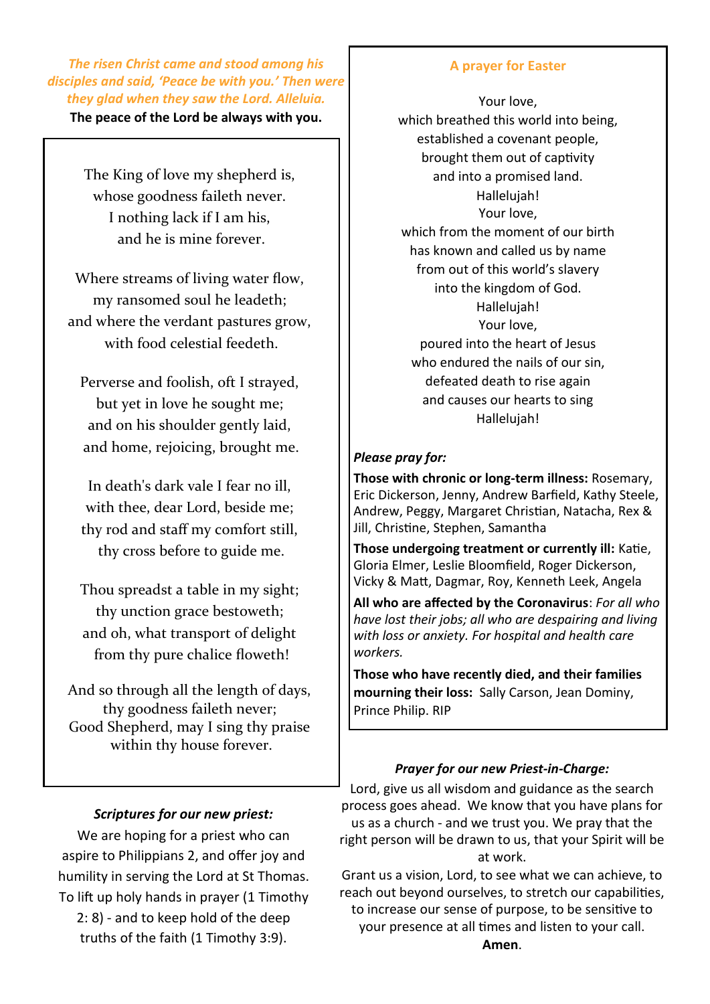*The risen Christ came and stood among his disciples and said, 'Peace be with you.' Then were they glad when they saw the Lord. Alleluia.*

**The peace of the Lord be always with you.**

The King of love my shepherd is, whose goodness faileth never. I nothing lack if I am his, and he is mine forever.

Where streams of living water flow, my ransomed soul he leadeth; and where the verdant pastures grow, with food celestial feedeth.

Perverse and foolish, oft I strayed, but yet in love he sought me; and on his shoulder gently laid, and home, rejoicing, brought me.

In death's dark vale I fear no ill, with thee, dear Lord, beside me; thy rod and staff my comfort still, thy cross before to guide me.

Thou spreadst a table in my sight; thy unction grace bestoweth; and oh, what transport of delight from thy pure chalice floweth!

And so through all the length of days, thy goodness faileth never; Good Shepherd, may I sing thy praise within thy house forever.

#### **A prayer for Easter**

Your love, which breathed this world into being, established a covenant people, brought them out of captivity and into a promised land. Hallelujah! Your love, which from the moment of our birth has known and called us by name from out of this world's slavery into the kingdom of God. Hallelujah! Your love, poured into the heart of Jesus who endured the nails of our sin, defeated death to rise again and causes our hearts to sing Hallelujah!

#### *Please pray for:*

**Those with chronic or long-term illness:** Rosemary, Eric Dickerson, Jenny, Andrew Barfield, Kathy Steele, Andrew, Peggy, Margaret Christian, Natacha, Rex & Jill, Christine, Stephen, Samantha

**Those undergoing treatment or currently ill:** Katie, Gloria Elmer, Leslie Bloomfield, Roger Dickerson, Vicky & Matt, Dagmar, Roy, Kenneth Leek, Angela

**All who are affected by the Coronavirus**: *For all who have lost their jobs; all who are despairing and living with loss or anxiety. For hospital and health care workers.*

**Those who have recently died, and their families mourning their loss:** Sally Carson, Jean Dominy, Prince Philip. RIP

#### *Prayer for our new Priest-in-Charge:*

Lord, give us all wisdom and guidance as the search process goes ahead. We know that you have plans for us as a church - and we trust you. We pray that the right person will be drawn to us, that your Spirit will be at work.

Grant us a vision, Lord, to see what we can achieve, to reach out beyond ourselves, to stretch our capabilities, to increase our sense of purpose, to be sensitive to your presence at all times and listen to your call.

We are hoping for a priest who can aspire to Philippians 2, and offer joy and humility in serving the Lord at St Thomas. To lift up holy hands in prayer (1 Timothy 2: 8) - and to keep hold of the deep truths of the faith (1 Timothy 3:9).